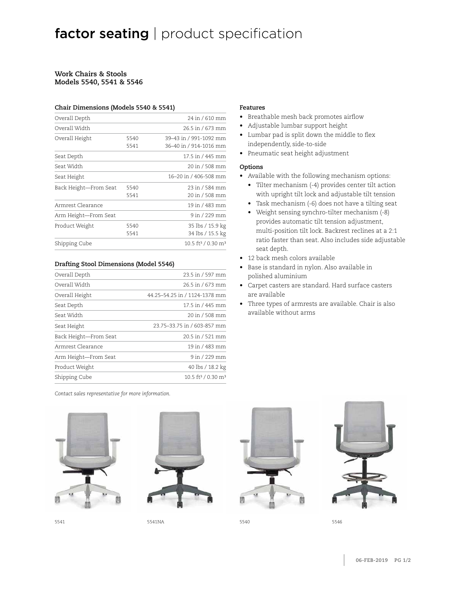#### **Work Chairs & Stools Models 5540, 5541 & 5546**

#### **Chair Dimensions (Models 5540 & 5541)**

| Overall Depth         |              | 24 in / 610 mm                                   |
|-----------------------|--------------|--------------------------------------------------|
| Overall Width         |              | 26.5 in / 673 mm                                 |
| Overall Height        | 5540<br>5541 | 39-43 in / 991-1092 mm<br>36-40 in / 914-1016 mm |
| Seat Depth            |              | 17.5 in / 445 mm                                 |
| Seat Width            |              | 20 in / 508 mm                                   |
| Seat Height           |              | 16–20 in / 406-508 mm                            |
| Back Height—From Seat | 5540<br>5541 | 23 in / 584 mm<br>20 in / 508 mm                 |
| Armrest Clearance     |              | 19 in / 483 mm                                   |
| Arm Height-From Seat  |              | 9 in / 229 mm                                    |
| Product Weight        | 5540<br>5541 | 35 lbs / 15.9 kg<br>34 lbs / 15.5 kg             |
| Shipping Cube         |              | 10.5 ft <sup>3</sup> / 0.30 m <sup>3</sup>       |
|                       |              |                                                  |

#### **Drafting Stool Dimensions (Model 5546)**

| Overall Depth         | 23.5 in / 597 mm                           |
|-----------------------|--------------------------------------------|
| Overall Width         | 26.5 in / 673 mm                           |
| Overall Height        | 44.25-54.25 in / 1124-1378 mm              |
| Seat Depth            | 17.5 in / 445 mm                           |
| Seat Width            | 20 in / 508 mm                             |
| Seat Height           | 23.75-33.75 in / 603-857 mm                |
| Back Height-From Seat | 20.5 in / 521 mm                           |
| Armrest Clearance     | 19 in / 483 mm                             |
| Arm Height—From Seat  | 9 in / 229 mm                              |
| Product Weight        | 40 lbs / 18.2 kg                           |
| Shipping Cube         | 10.5 ft <sup>3</sup> / 0.30 m <sup>3</sup> |

*Contact sales representative for more information.*





5541 5541NA 5540 5546

#### **Features**

- Breathable mesh back promotes airflow
- Adjustable lumbar support height
- Lumbar pad is split down the middle to flex independently, side-to-side
- Pneumatic seat height adjustment

#### **Options**

- Available with the following mechanism options:
	- Tilter mechanism (-4) provides center tilt action with upright tilt lock and adjustable tilt tension
	- Task mechanism (-6) does not have a tilting seat
	- Weight sensing synchro-tilter mechanism (-8) provides automatic tilt tension adjustment, multi-position tilt lock. Backrest reclines at a 2:1 ratio faster than seat. Also includes side adjustable seat depth.
- 12 back mesh colors available
- Base is standard in nylon. Also available in polished aluminium
- Carpet casters are standard. Hard surface casters are available
- Three types of armrests are available. Chair is also available without arms